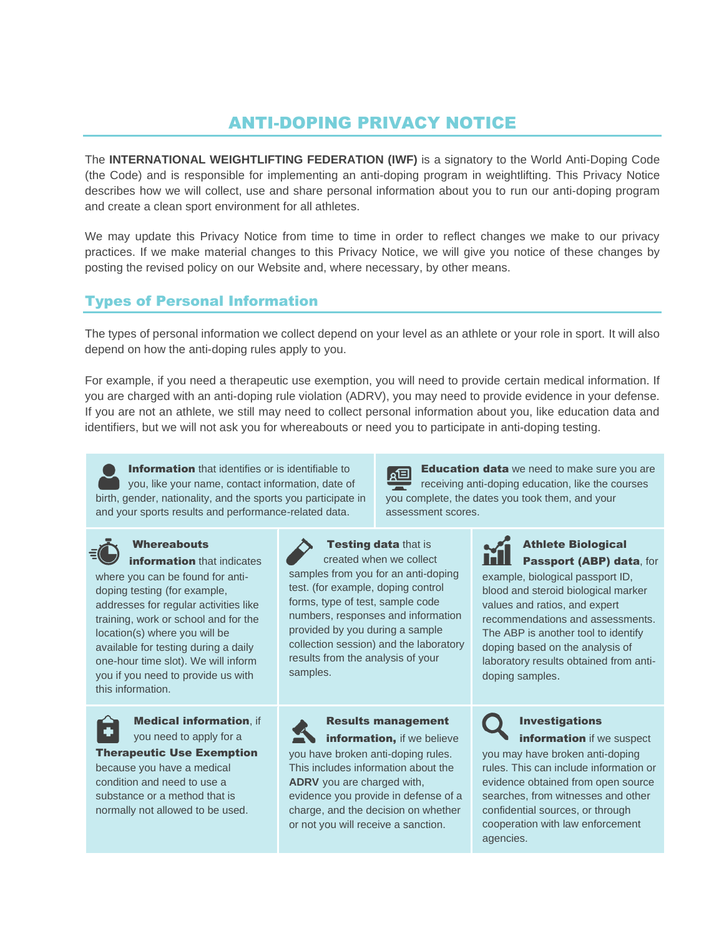# ANTI-DOPING PRIVACY NOTICE

The **INTERNATIONAL WEIGHTLIFTING FEDERATION (IWF)** is a signatory to the World Anti-Doping Code (the Code) and is responsible for implementing an anti-doping program in weightlifting. This Privacy Notice describes how we will collect, use and share personal information about you to run our anti-doping program and create a clean sport environment for all athletes.

We may update this Privacy Notice from time to time in order to reflect changes we make to our privacy practices. If we make material changes to this Privacy Notice, we will give you notice of these changes by posting the revised policy on our Website and, where necessary, by other means.

# Types of Personal Information

The types of personal information we collect depend on your level as an athlete or your role in sport. It will also depend on how the anti-doping rules apply to you.

For example, if you need a therapeutic use exemption, you will need to provide certain medical information. If you are charged with an anti-doping rule violation (ADRV), you may need to provide evidence in your defense. If you are not an athlete, we still may need to collect personal information about you, like education data and identifiers, but we will not ask you for whereabouts or need you to participate in anti-doping testing.





# **Whereabouts**

information that indicates where you can be found for antidoping testing (for example, addresses for regular activities like training, work or school and for the location(s) where you will be available for testing during a daily one-hour time slot). We will inform you if you need to provide us with this information.



Medical information, if you need to apply for a Therapeutic Use Exemption

because you have a medical condition and need to use a substance or a method that is normally not allowed to be used.



samples.

**Testing data that is** created when we collect samples from you for an anti-doping test. (for example, doping control forms, type of test, sample code numbers, responses and information provided by you during a sample collection session) and the laboratory

results from the analysis of your

Results management information, if we believe you have broken anti-doping rules. This includes information about the **ADRV** you are charged with, evidence you provide in defense of a charge, and the decision on whether or not you will receive a sanction.

**Education data** we need to make sure you are 回 receiving anti-doping education, like the courses you complete, the dates you took them, and your assessment scores.



#### Athlete Biological Passport (ABP) data, for

example, biological passport ID, blood and steroid biological marker values and ratios, and expert recommendations and assessments. The ABP is another tool to identify doping based on the analysis of laboratory results obtained from antidoping samples.

> Investigations **information** if we suspect

you may have broken anti-doping rules. This can include information or evidence obtained from open source searches, from witnesses and other confidential sources, or through cooperation with law enforcement agencies.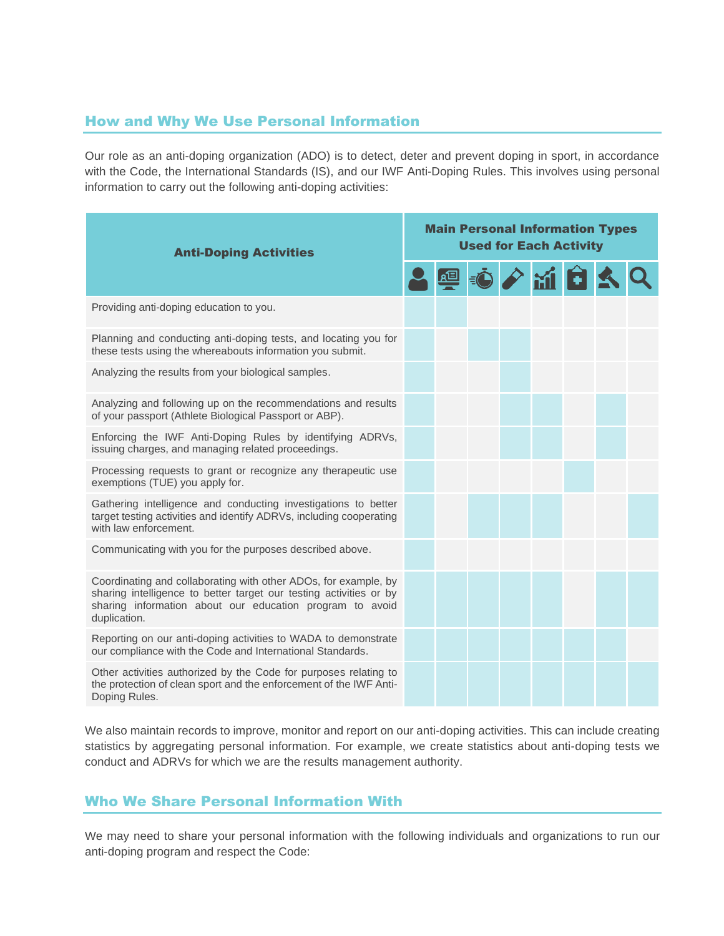# How and Why We Use Personal Information

Our role as an anti-doping organization (ADO) is to detect, deter and prevent doping in sport, in accordance with the Code, the International Standards (IS), and our IWF Anti-Doping Rules. This involves using personal information to carry out the following anti-doping activities:

| <b>Anti-Doping Activities</b>                                                                                                                                                                                     | <b>Main Personal Information Types</b><br><b>Used for Each Activity</b> |  |  |  |  |              |  |  |
|-------------------------------------------------------------------------------------------------------------------------------------------------------------------------------------------------------------------|-------------------------------------------------------------------------|--|--|--|--|--------------|--|--|
|                                                                                                                                                                                                                   |                                                                         |  |  |  |  | <b>OPMBS</b> |  |  |
| Providing anti-doping education to you.                                                                                                                                                                           |                                                                         |  |  |  |  |              |  |  |
| Planning and conducting anti-doping tests, and locating you for<br>these tests using the whereabouts information you submit.                                                                                      |                                                                         |  |  |  |  |              |  |  |
| Analyzing the results from your biological samples.                                                                                                                                                               |                                                                         |  |  |  |  |              |  |  |
| Analyzing and following up on the recommendations and results<br>of your passport (Athlete Biological Passport or ABP).                                                                                           |                                                                         |  |  |  |  |              |  |  |
| Enforcing the IWF Anti-Doping Rules by identifying ADRVs,<br>issuing charges, and managing related proceedings.                                                                                                   |                                                                         |  |  |  |  |              |  |  |
| Processing requests to grant or recognize any therapeutic use<br>exemptions (TUE) you apply for.                                                                                                                  |                                                                         |  |  |  |  |              |  |  |
| Gathering intelligence and conducting investigations to better<br>target testing activities and identify ADRVs, including cooperating<br>with law enforcement.                                                    |                                                                         |  |  |  |  |              |  |  |
| Communicating with you for the purposes described above.                                                                                                                                                          |                                                                         |  |  |  |  |              |  |  |
| Coordinating and collaborating with other ADOs, for example, by<br>sharing intelligence to better target our testing activities or by<br>sharing information about our education program to avoid<br>duplication. |                                                                         |  |  |  |  |              |  |  |
| Reporting on our anti-doping activities to WADA to demonstrate<br>our compliance with the Code and International Standards.                                                                                       |                                                                         |  |  |  |  |              |  |  |
| Other activities authorized by the Code for purposes relating to<br>the protection of clean sport and the enforcement of the IWF Anti-<br>Doping Rules.                                                           |                                                                         |  |  |  |  |              |  |  |

We also maintain records to improve, monitor and report on our anti-doping activities. This can include creating statistics by aggregating personal information. For example, we create statistics about anti-doping tests we conduct and ADRVs for which we are the results management authority.

# Who We Share Personal Information With

We may need to share your personal information with the following individuals and organizations to run our anti-doping program and respect the Code: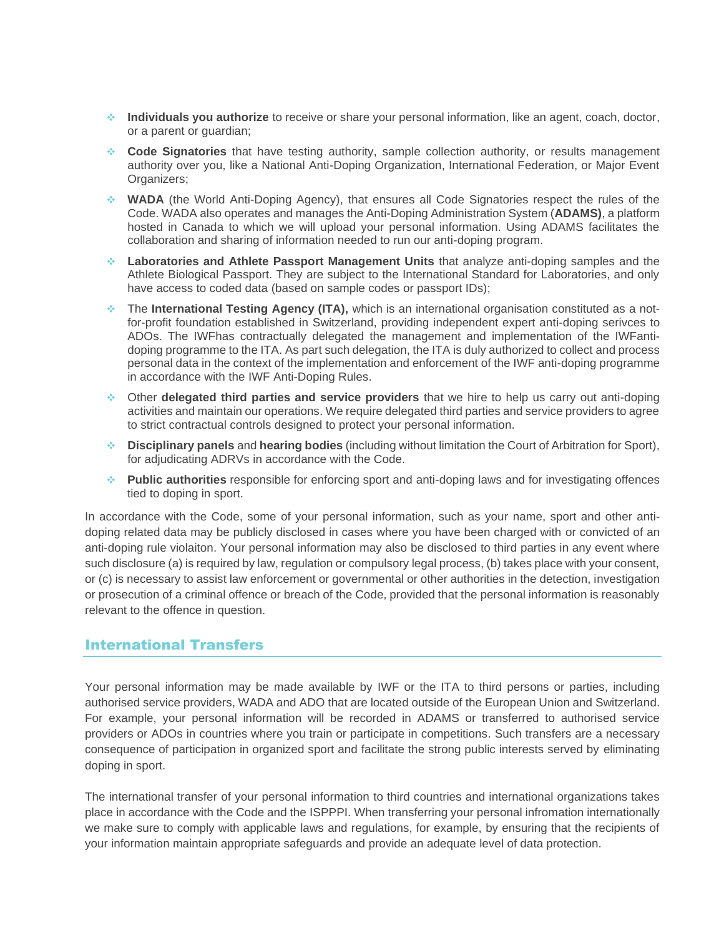- ❖ **Individuals you authorize** to receive or share your personal information, like an agent, coach, doctor, or a parent or guardian;
- ❖ **Code Signatories** that have testing authority, sample collection authority, or results management authority over you, like a National Anti-Doping Organization, International Federation, or Major Event Organizers;
- ❖ **WADA** (the World Anti-Doping Agency), that ensures all Code Signatories respect the rules of the Code. WADA also operates and manages the Anti-Doping Administration System (**ADAMS)**, a platform hosted in Canada to which we will upload your personal information. Using ADAMS facilitates the collaboration and sharing of information needed to run our anti-doping program.
- ❖ **Laboratories and Athlete Passport Management Units** that analyze anti-doping samples and the Athlete Biological Passport. They are subject to the International Standard for Laboratories, and only have access to coded data (based on sample codes or passport IDs);
- ❖ The **International Testing Agency (ITA),** which is an international organisation constituted as a notfor-profit foundation established in Switzerland, providing independent expert anti-doping serivces to ADOs. The IWFhas contractually delegated the management and implementation of the IWFantidoping programme to the ITA. As part such delegation, the ITA is duly authorized to collect and process personal data in the context of the implementation and enforcement of the IWF anti-doping programme in accordance with the IWF Anti-Doping Rules.
- ❖ Other **delegated third parties and service providers** that we hire to help us carry out anti-doping activities and maintain our operations. We require delegated third parties and service providers to agree to strict contractual controls designed to protect your personal information.
- ❖ **Disciplinary panels** and **hearing bodies** (including without limitation the Court of Arbitration for Sport), for adjudicating ADRVs in accordance with the Code.
- ❖ **Public authorities** responsible for enforcing sport and anti-doping laws and for investigating offences tied to doping in sport.

In accordance with the Code, some of your personal information, such as your name, sport and other antidoping related data may be publicly disclosed in cases where you have been charged with or convicted of an anti-doping rule violaiton. Your personal information may also be disclosed to third parties in any event where such disclosure (a) is required by law, regulation or compulsory legal process, (b) takes place with your consent, or (c) is necessary to assist law enforcement or governmental or other authorities in the detection, investigation or prosecution of a criminal offence or breach of the Code, provided that the personal information is reasonably relevant to the offence in question.

#### International Transfers

Your personal information may be made available by IWF or the ITA to third persons or parties, including authorised service providers, WADA and ADO that are located outside of the European Union and Switzerland. For example, your personal information will be recorded in ADAMS or transferred to authorised service providers or ADOs in countries where you train or participate in competitions. Such transfers are a necessary consequence of participation in organized sport and facilitate the strong public interests served by eliminating doping in sport.

The international transfer of your personal information to third countries and international organizations takes place in accordance with the Code and the ISPPPI. When transferring your personal infromation internationally we make sure to comply with applicable laws and regulations, for example, by ensuring that the recipients of your information maintain appropriate safeguards and provide an adequate level of data protection.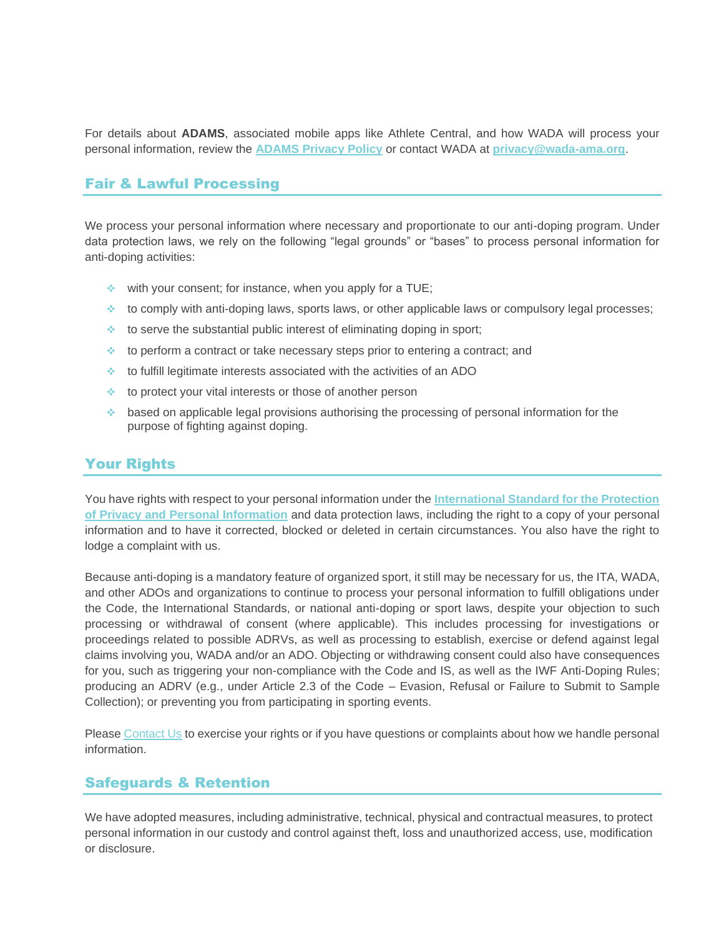For details about **ADAMS**, associated mobile apps like Athlete Central, and how WADA will process your personal information, review the **[ADAMS Privacy Policy](https://adams-help.wada-ama.org/hc/en-us/articles/360012071820-ADAMS-Privacy-Policy)** or contact WADA at **[privacy@wada-ama.org](mailto:privacy@wada-ama.org)**.

#### Fair & Lawful Processing

We process your personal information where necessary and proportionate to our anti-doping program. Under data protection laws, we rely on the following "legal grounds" or "bases" to process personal information for anti-doping activities:

- $\cdot$  with your consent; for instance, when you apply for a TUE;
- ❖ to comply with anti-doping laws, sports laws, or other applicable laws or compulsory legal processes;
- ❖ to serve the substantial public interest of eliminating doping in sport;
- ❖ to perform a contract or take necessary steps prior to entering a contract; and
- ❖ to fulfill legitimate interests associated with the activities of an ADO
- ❖ to protect your vital interests or those of another person
- ❖ based on applicable legal provisions authorising the processing of personal information for the purpose of fighting against doping.

# Your Rights

You have rights with respect to your personal information under the **[International Standard for the Protection](https://www.wada-ama.org/en/resources/data-protection/international-standard-for-the-protection-of-privacy-and-personal)  of Privacy [and Personal Information](https://www.wada-ama.org/en/resources/data-protection/international-standard-for-the-protection-of-privacy-and-personal)** and data protection laws, including the right to a copy of your personal information and to have it corrected, blocked or deleted in certain circumstances. You also have the right to lodge a complaint with us.

Because anti-doping is a mandatory feature of organized sport, it still may be necessary for us, the ITA, WADA, and other ADOs and organizations to continue to process your personal information to fulfill obligations under the Code, the International Standards, or national anti-doping or sport laws, despite your objection to such processing or withdrawal of consent (where applicable). This includes processing for investigations or proceedings related to possible ADRVs, as well as processing to establish, exercise or defend against legal claims involving you, WADA and/or an ADO. Objecting or withdrawing consent could also have consequences for you, such as triggering your non-compliance with the Code and IS, as well as the IWF Anti-Doping Rules; producing an ADRV (e.g., under Article 2.3 of the Code – Evasion, Refusal or Failure to Submit to Sample Collection); or preventing you from participating in sporting events.

Please [Contact Us](#page-4-0) to exercise your rights or if you have questions or complaints about how we handle personal information.

#### Safeguards & Retention

We have adopted measures, including administrative, technical, physical and contractual measures, to protect personal information in our custody and control against theft, loss and unauthorized access, use, modification or disclosure.